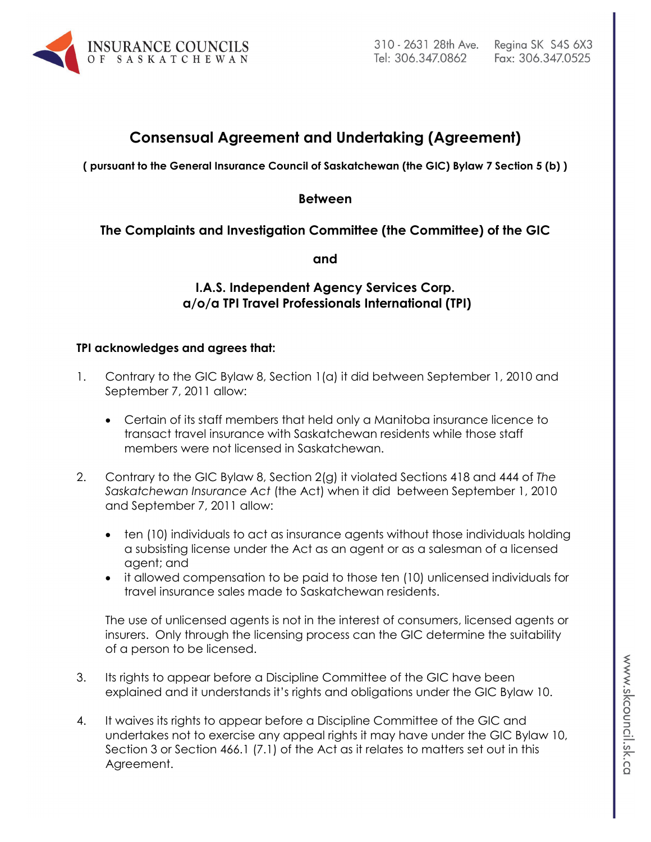

# **Consensual Agreement and Undertaking (Agreement)**

**( pursuant to the General Insurance Council of Saskatchewan (the GIC) Bylaw 7 Section 5 (b) )**

#### **Between**

# **The Complaints and Investigation Committee (the Committee) of the GIC**

**and**

# **I.A.S. Independent Agency Services Corp. a/o/a TPI Travel Professionals International (TPI)**

## **TPI acknowledges and agrees that:**

- 1. Contrary to the GIC Bylaw 8, Section 1(a) it did between September 1, 2010 and September 7, 2011 allow:
	- Certain of its staff members that held only a Manitoba insurance licence to transact travel insurance with Saskatchewan residents while those staff members were not licensed in Saskatchewan.
- 2. Contrary to the GIC Bylaw 8, Section 2(g) it violated Sections 418 and 444 of *The Saskatchewan Insurance Act* (the Act) when it did between September 1, 2010 and September 7, 2011 allow:
	- ten (10) individuals to act as insurance agents without those individuals holding a subsisting license under the Act as an agent or as a salesman of a licensed agent; and
	- it allowed compensation to be paid to those ten (10) unlicensed individuals for travel insurance sales made to Saskatchewan residents.

The use of unlicensed agents is not in the interest of consumers, licensed agents or insurers. Only through the licensing process can the GIC determine the suitability of a person to be licensed.

- 3. Its rights to appear before a Discipline Committee of the GIC have been explained and it understands it's rights and obligations under the GIC Bylaw 10.
- 4. It waives its rights to appear before a Discipline Committee of the GIC and undertakes not to exercise any appeal rights it may have under the GIC Bylaw 10, Section 3 or Section 466.1 (7.1) of the Act as it relates to matters set out in this Agreement.